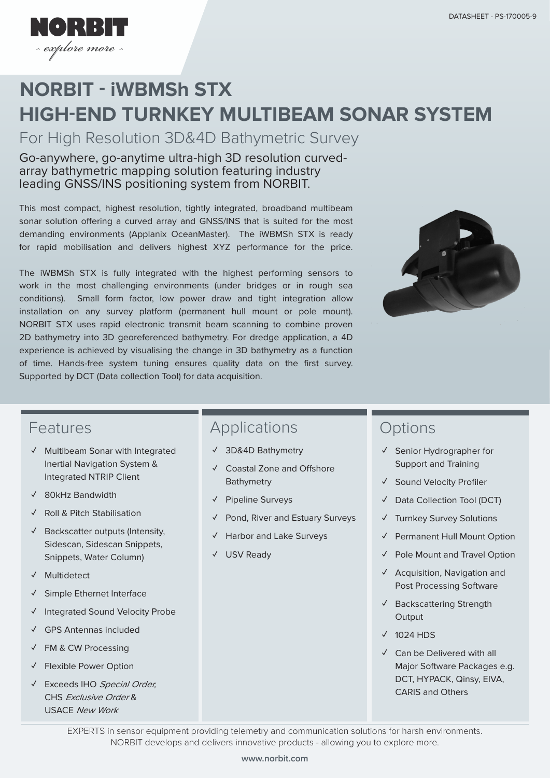

# **HIGH-END TURNKEY MULTIBEAM SONAR SYSTEM NORBIT - iWBMSh STX**

For High Resolution 3D&4D Bathymetric Survey

#### Go-anywhere, go-anytime ultra-high 3D resolution curvedarray bathymetric mapping solution featuring industry leading GNSS/INS positioning system from NORBIT.

This most compact, highest resolution, tightly integrated, broadband multibeam sonar solution offering a curved array and GNSS/INS that is suited for the most demanding environments (Applanix OceanMaster). The iWBMSh STX is ready for rapid mobilisation and delivers highest XYZ performance for the price.

The iWBMSh STX is fully integrated with the highest performing sensors to work in the most challenging environments (under bridges or in rough sea conditions). Small form factor, low power draw and tight integration allow installation on any survey platform (permanent hull mount or pole mount). NORBIT STX uses rapid electronic transmit beam scanning to combine proven 2D bathymetry into 3D georeferenced bathymetry. For dredge application, a 4D experience is achieved by visualising the change in 3D bathymetry as a function of time. Hands-free system tuning ensures quality data on the first survey. Supported by DCT (Data collection Tool) for data acquisition.



### Features

- **✓** Multibeam Sonar with Integrated Inertial Navigation System & Integrated NTRIP Client
- **✓** 80kHz Bandwidth
- **✓** Roll & Pitch Stabilisation
- **✓** Backscatter outputs (Intensity, Sidescan, Sidescan Snippets, Snippets, Water Column)
- **✓** Multidetect
- **✓** Simple Ethernet Interface
- **✓** Integrated Sound Velocity Probe
- **✓** GPS Antennas included
- **✓** FM & CW Processing
- **✓** Flexible Power Option
- **✓** Exceeds IHO Special Order, CHS Exclusive Order & USACE New Work

# Applications

- **✓** 3D&4D Bathymetry
- **✓** Coastal Zone and Offshore Bathymetry
- **✓** Pipeline Surveys
- **✓** Pond, River and Estuary Surveys
- **Harbor and Lake Surveys**
- **✓** USV Ready

### **Options**

- **✓** Senior Hydrographer for Support and Training
- **✓** Sound Velocity Profiler
- **✓** Data Collection Tool (DCT)
- **✓** Turnkey Survey Solutions
- **Permanent Hull Mount Option**
- **✓** Pole Mount and Travel Option
- **✓** Acquisition, Navigation and Post Processing Software
- **✓** Backscattering Strength **Output**
- **✓** 1024 HDS
- **✓** Can be Delivered with all Major Software Packages e.g. DCT, HYPACK, Qinsy, EIVA, CARIS and Others

EXPERTS in sensor equipment providing telemetry and communication solutions for harsh environments. NORBIT develops and delivers innovative products - allowing you to explore more.